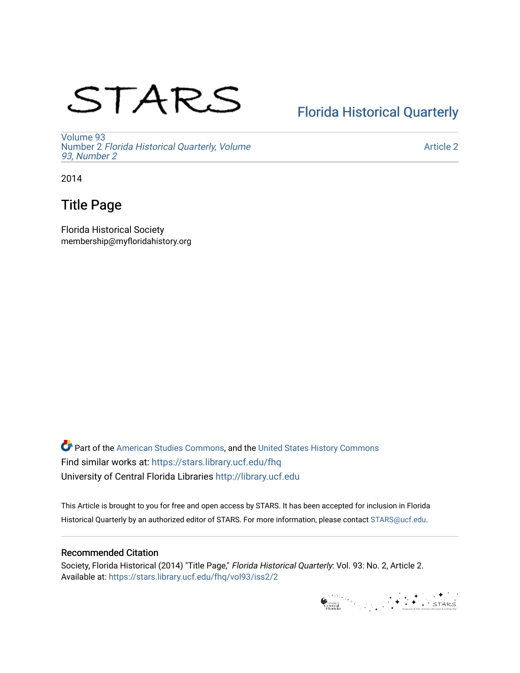# STARS

## [Florida Historical Quarterly](https://stars.library.ucf.edu/fhq)

[Volume 93](https://stars.library.ucf.edu/fhq/vol93) Number 2 [Florida Historical Quarterly, Volume](https://stars.library.ucf.edu/fhq/vol93/iss2)  [93, Number 2](https://stars.library.ucf.edu/fhq/vol93/iss2)

[Article 2](https://stars.library.ucf.edu/fhq/vol93/iss2/2) 

2014

### Title Page

Florida Historical Society membership@myfloridahistory.org

**C** Part of the [American Studies Commons](http://network.bepress.com/hgg/discipline/439?utm_source=stars.library.ucf.edu%2Ffhq%2Fvol93%2Fiss2%2F2&utm_medium=PDF&utm_campaign=PDFCoverPages), and the United States History Commons Find similar works at: <https://stars.library.ucf.edu/fhq> University of Central Florida Libraries [http://library.ucf.edu](http://library.ucf.edu/) 

This Article is brought to you for free and open access by STARS. It has been accepted for inclusion in Florida Historical Quarterly by an authorized editor of STARS. For more information, please contact [STARS@ucf.edu.](mailto:STARS@ucf.edu)

### Recommended Citation

Society, Florida Historical (2014) "Title Page," Florida Historical Quarterly: Vol. 93: No. 2, Article 2. Available at: [https://stars.library.ucf.edu/fhq/vol93/iss2/2](https://stars.library.ucf.edu/fhq/vol93/iss2/2?utm_source=stars.library.ucf.edu%2Ffhq%2Fvol93%2Fiss2%2F2&utm_medium=PDF&utm_campaign=PDFCoverPages) 

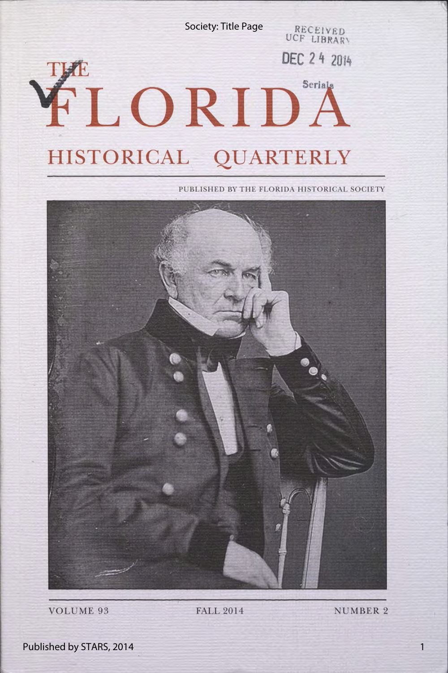Society: Title Page

RECEIVED UCF LIBRAR\

DEC 24 2014

## THE FLORIDA **HISTORICAL QUARTERLY**

PUBLISHED BY THE FLORIDA HISTORICAL SOCIETY



VOLUME 93 FALL 2014 NUMBER 2

Published by STARS, 2014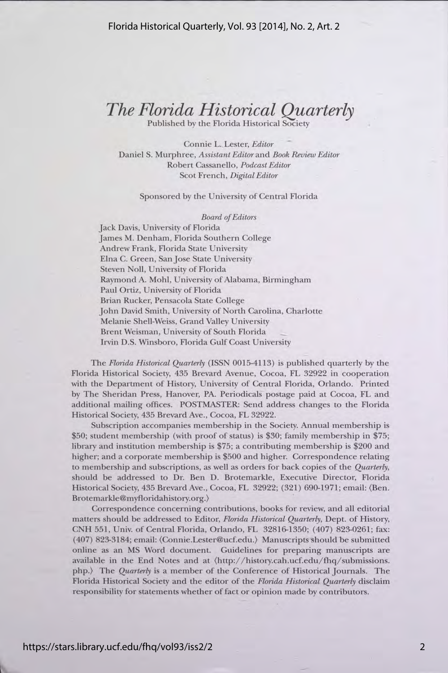## *The Florida Historical Quarterly*

Published by the Florida Historical Society

Connie L. Lester, *Editor*  Daniel S. Murphree, *Assistant Editor* and *Book Review Editor*  Robert Cassanello, *Podcast Editor*  Scot French, *Digdal Editor* 

#### Sponsored by the University of Central Florida

*Board of Editors* 

Jack Davis, University of Florida James M. Denham, Florida Southern College Andrew Frank, Florida State University Elna C. Green, Sanjose State University Steven Noll, University of Florida Raymond A. Mohl, University of Alabama, Birmingham Paul Ortiz, University of Florida Brian Rucker, Pensacola State College John David Smith, University of North Carolina, Charlotte Melanie Shell-Weiss, Grand Valley University Brent Weisman, University of South Florida Irvin D.S. Winsboro, Florida Gulf Coast University

The *Florida Historical Quarterly* (ISSN 0015-4113) is published quarterly by the Florida Historical Society, 435 Brevard Avenue, Cocoa, FL 32922 in cooperation with the Department of History, University of Central Florida, Orlando. Printed by The Sheridan Press, Hanover, PA. Periodicals postage paid at Cocoa, FL and additional mailing offices. POSTMASTER: Send address changes to the Florida Historical Society, 435 Brevard Ave., Cocoa, FL 32922.

Subscription accompanies membership in the Society. Annual membership is \$50; student membership (with proof of status) is \$30; family membership in \$75; library and institution membership is \$75; a contributing membership is \$200 and higher; and a corporate membership is \$500 and higher. Correspondence relating to membership and subscriptions, as well as orders for back copies of the *Quarterly,*  should be addressed to Dr. Ben D. Brotemarkle, Executive Director, Florida Historical Society, 435 Brevard Ave., Cocoa, FL 32922; (321) 690-1971; email: (Ben. Brotemarkle@myfloridahistory.org.)

Correspondence concerning contributions, books for review, and all editorial matters should be addressed to Editor, *Florida Historical Quarterly,* Dept. of History, CNH 551, Univ. of Central Florida, Orlando, FL 32816-1350; ( 407) 823-0261; fax: (407) 823-3184; email: (Connie.Lester@ucf.edu.) Manuscripts should be submitted online as an MS Word document. Guidelines for preparing manuscripts are available in the End Notes and at  $\langle \hat{h} t p \rangle / \hbar \langle \hat{h} s \rangle$  and  $\langle \hat{h} q \rangle$  submissions. php.) The *Quarterly* is a member of the Conference of Historical Journals. The Florida Historical Society and the editor of the *Florida Historical Quarterly* disclaim responsibility for statements whether of fact or opinion made by contributors.

2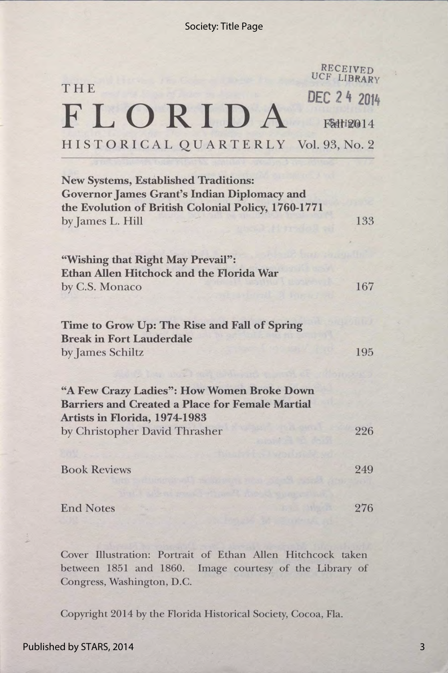|                                                                                                                                                                              | RECEIVED<br>UCF LIBRARY |
|------------------------------------------------------------------------------------------------------------------------------------------------------------------------------|-------------------------|
| THE                                                                                                                                                                          | DEC 2 4 2014            |
| FLORIDA                                                                                                                                                                      | FS412014                |
| HISTORICAL QUARTERLY Vol. 93, No. 2                                                                                                                                          |                         |
| <b>New Systems, Established Traditions:</b><br><b>Governor James Grant's Indian Diplomacy and</b><br>the Evolution of British Colonial Policy, 1760-1771<br>by James L. Hill | 133                     |
| "Wishing that Right May Prevail":<br><b>Ethan Allen Hitchock and the Florida War</b><br>by C.S. Monaco                                                                       | 167                     |
| Time to Grow Up: The Rise and Fall of Spring<br><b>Break in Fort Lauderdale</b><br>by James Schiltz                                                                          | 195                     |
| "A Few Crazy Ladies": How Women Broke Down<br><b>Barriers and Created a Place for Female Martial</b><br>Artists in Florida, 1974-1983                                        |                         |
| by Christopher David Thrasher                                                                                                                                                | 226                     |
| <b>Book Reviews</b>                                                                                                                                                          | 249                     |
| <b>End Notes</b>                                                                                                                                                             | 276                     |

Cover Illustration: Portrait of Ethan Allen Hitchcock taken between 1851 and 1860. Image courtesy of the Library of Congress, Washington, D.C.

Copyright 2014 by the Florida Historical Society, Cocoa, Fla.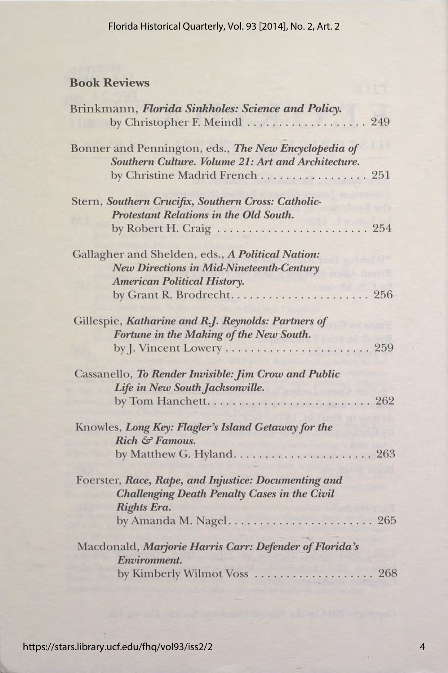### Book Reviews

| Brinkmann, Florida Sinkholes: Science and Policy.                                                          |              |
|------------------------------------------------------------------------------------------------------------|--------------|
| by Christopher F. Meindl                                                                                   | 249          |
| Bonner and Pennington, eds., The New Encyclopedia of<br>Southern Culture. Volume 21: Art and Architecture. |              |
| by Christine Madrid French 251                                                                             |              |
| Stern, Southern Crucifix, Southern Cross: Catholic-                                                        |              |
| Protestant Relations in the Old South.                                                                     |              |
|                                                                                                            | . 254        |
| Gallagher and Shelden, eds., A Political Nation:                                                           |              |
| <b>New Directions in Mid-Nineteenth-Century</b>                                                            |              |
| <b>American Political History.</b>                                                                         |              |
|                                                                                                            |              |
| Gillespie, Katharine and R.J. Reynolds: Partners of                                                        |              |
| Fortune in the Making of the New South.                                                                    |              |
| by J. Vincent Lowery                                                                                       | 259          |
| Cassanello, To Render Invisible: Jim Crow and Public                                                       |              |
| Life in New South Jacksonville.                                                                            |              |
| by Tom Hanchett.                                                                                           | $\ldots$ 262 |
| Knowles, Long Key: Flagler's Island Getaway for the                                                        |              |
| Rich & Famous.                                                                                             |              |
|                                                                                                            |              |
| Foerster, Race, Rape, and Injustice: Documenting and                                                       |              |
| <b>Challenging Death Penalty Cases in the Civil</b>                                                        |              |
| Rights Era.                                                                                                |              |
|                                                                                                            |              |
| Macdonald, Marjorie Harris Carr: Defender of Florida's                                                     |              |
| Environment.                                                                                               |              |
| by Kimberly Wilmot Voss<br>. 268                                                                           |              |